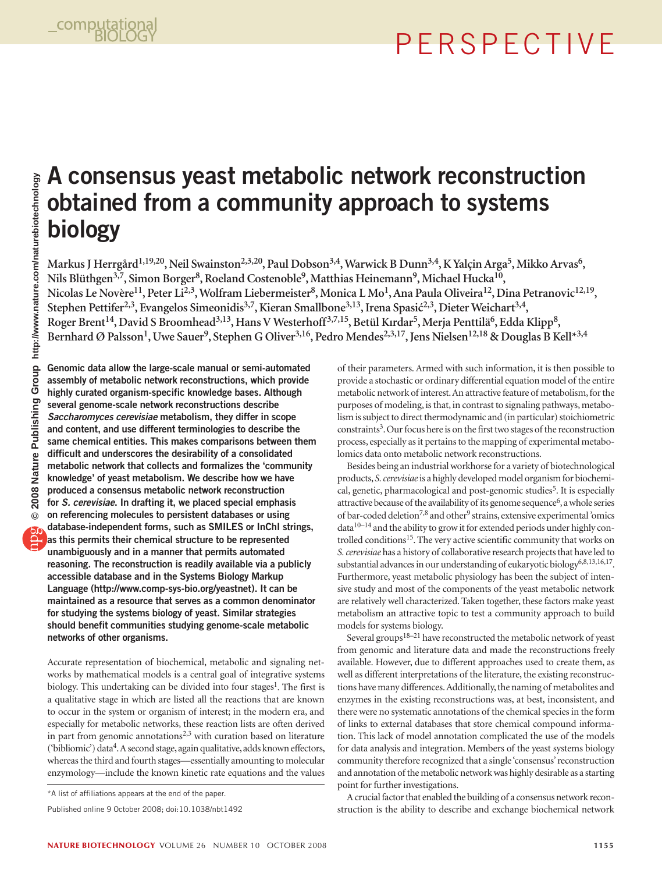# perspective

### **A consensus yeast metabolic network reconstruction obtained from a community approach to systems biology**

Markus J Herrgård<sup>1,19,20</sup>, Neil Swainston<sup>2,3,20</sup>, Paul Dobson<sup>3,4</sup>, Warwick B Dunn<sup>3,4</sup>, K Yalçin Arga<sup>5</sup>, Mikko Arvas<sup>6</sup>, Nils Blüthgen<sup>3,7</sup>, Simon Borger<sup>8</sup>, Roeland Costenoble<sup>9</sup>, Matthias Heinemann<sup>9</sup>, Michael Hucka<sup>10</sup>, Nicolas Le Novère<sup>11</sup>, Peter Li<sup>2,3</sup>, Wolfram Liebermeister<sup>8</sup>, Monica L Mo<sup>1</sup>, Ana Paula Oliveira<sup>12</sup>, Dina Petranovic<sup>12,19</sup>, **Stephen Pettifer2,3, Evangelos Simeonidis3,7, Kieran Smallbone3,13, Irena Spasić2,3, Dieter Weichart3,4,** Roger Brent<sup>14</sup>, David S Broomhead<sup>3,13</sup>, Hans V Westerhoff<sup>3,7,15</sup>, Betül Kırdar<sup>5</sup>, Merja Penttilä<sup>6</sup>, Edda Klipp<sup>8</sup>, Bernhard Ø Palsson<sup>1</sup>, Uwe Sauer<sup>9</sup>, Stephen G Oliver<sup>3,16</sup>, Pedro Mendes<sup>2,3,17</sup>, Jens Nielsen<sup>12,18</sup> & Douglas B Kell<sup>\*3,4</sup>

**Genomic data allow the large-scale manual or semi-automated assembly of metabolic network reconstructions, which provide highly curated organism-specific knowledge bases. Although several genome-scale network reconstructions describe**  *Saccharomyces cerevisiae* **metabolism, they differ in scope and content, and use different terminologies to describe the same chemical entities. This makes comparisons between them difficult and underscores the desirability of a consolidated metabolic network that collects and formalizes the 'community knowledge' of yeast metabolism. We describe how we have produced a consensus metabolic network reconstruction for** *S. cerevisiae***. In drafting it, we placed special emphasis on referencing molecules to persistent databases or using database-independent forms, such as SMILES or InChI strings, as this permits their chemical structure to be represented unambiguously and in a manner that permits automated reasoning. The reconstruction is readily available via a publicly accessible database and in the Systems Biology Markup Language [\(http://www.comp-sys-bio.org/yeastnet\)](http://www.comp-sys-bio.org/yeastnet). It can be maintained as a resource that serves as a common denominator for studying the systems biology of yeast. Similar strategies should benefit communities studying genome-scale metabolic networks of other organisms.**

Accurate representation of biochemical, metabolic and signaling networks by mathematical models is a central goal of integrative systems biology. This undertaking can be divided into four stages<sup>1</sup>. The first is a qualitative stage in which are listed all the reactions that are known to occur in the system or organism of interest; in the modern era, and especially for metabolic networks, these reaction lists are often derived in part from genomic annotations<sup>2,3</sup> with curation based on literature ('bibliomic') data<sup>4</sup>. A second stage, again qualitative, adds known effectors, whereas the third and fourth stages—essentially amounting to molecular enzymology—include the known kinetic rate equations and the values of their parameters. Armed with such information, it is then possible to provide a stochastic or ordinary differential equation model of the entire metabolic network of interest. An attractive feature of metabolism, for the purposes of modeling, is that, in contrast to signaling pathways, metabolism is subject to direct thermodynamic and (in particular) stoichiometric constraints<sup>3</sup>. Our focus here is on the first two stages of the reconstruction process, especially as it pertains to the mapping of experimental metabolomics data onto metabolic network reconstructions.

Besides being an industrial workhorse for a variety of biotechnological products, *S. cerevisiae* is a highly developed model organism for biochemical, genetic, pharmacological and post-genomic studies<sup>5</sup>. It is especially attractive because of the availability of its genome sequence<sup>6</sup>, a whole series of bar-coded deletion<sup>7,8</sup> and other<sup>9</sup> strains, extensive experimental 'omics data10–14 and the ability to grow it for extended periods under highly controlled conditions<sup>15</sup>. The very active scientific community that works on *S. cerevisiae* has a history of collaborative research projects that have led to substantial advances in our understanding of eukaryotic biology<sup>6,8,13,16,17</sup>. Furthermore, yeast metabolic physiology has been the subject of intensive study and most of the components of the yeast metabolic network are relatively well characterized. Taken together, these factors make yeast metabolism an attractive topic to test a community approach to build models for systems biology.

Several groups<sup>18–21</sup> have reconstructed the metabolic network of yeast from genomic and literature data and made the reconstructions freely available. However, due to different approaches used to create them, as well as different interpretations of the literature, the existing reconstructions have many differences. Additionally, the naming of metabolites and enzymes in the existing reconstructions was, at best, inconsistent, and there were no systematic annotations of the chemical species in the form of links to external databases that store chemical compound information. This lack of model annotation complicated the use of the models for data analysis and integration. Members of the yeast systems biology community therefore recognized that a single 'consensus' reconstruction and annotation of the metabolic network was highly desirable as a starting point for further investigations.

A crucial factor that enabled the building of a consensus network reconstruction is the ability to describe and exchange biochemical network

<sup>\*</sup>A list of affiliations appears at the end of the paper.

Published online 9 October 2008; doi:10.1038/nbt1492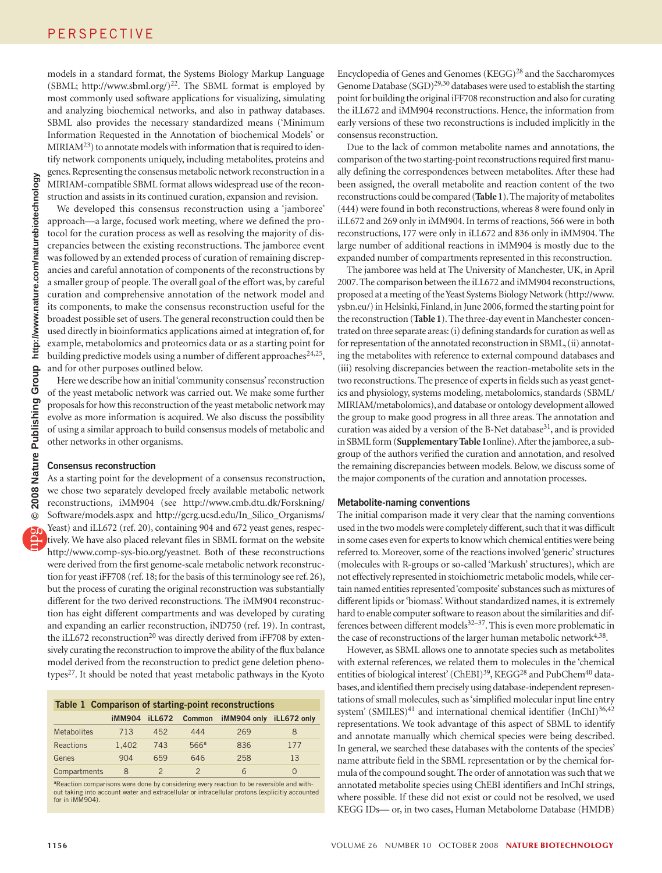models in a standard format, the Systems Biology Markup Language (SBML; [http://www.sbml.org/\)](http://www.sbml.org/)<sup>22</sup>. The SBML format is employed by most commonly used software applications for visualizing, simulating and analyzing biochemical networks, and also in pathway databases. SBML also provides the necessary standardized means ('Minimum Information Requested in the Annotation of biochemical Models' or  $MIRIAM<sup>23</sup>)$  to annotate models with information that is required to identify network components uniquely, including metabolites, proteins and genes. Representing the consensus metabolic network reconstruction in a MIRIAM-compatible SBML format allows widespread use of the reconstruction and assists in its continued curation, expansion and revision.

We developed this consensus reconstruction using a 'jamboree' approach—a large, focused work meeting, where we defined the protocol for the curation process as well as resolving the majority of discrepancies between the existing reconstructions. The jamboree event was followed by an extended process of curation of remaining discrepancies and careful annotation of components of the reconstructions by a smaller group of people. The overall goal of the effort was, by careful curation and comprehensive annotation of the network model and its components, to make the consensus reconstruction useful for the broadest possible set of users. The general reconstruction could then be used directly in bioinformatics applications aimed at integration of, for example, metabolomics and proteomics data or as a starting point for building predictive models using a number of different approaches<sup>24,25</sup>, and for other purposes outlined below.

Here we describe how an initial 'community consensus' reconstruction of the yeast metabolic network was carried out. We make some further proposals for how this reconstruction of the yeast metabolic network may evolve as more information is acquired. We also discuss the possibility of using a similar approach to build consensus models of metabolic and other networks in other organisms.

#### **Consensus reconstruction**

As a starting point for the development of a consensus reconstruction, we chose two separately developed freely available metabolic network reconstructions, iMM904 (see [http://www.cmb.dtu.dk/Forskning/](http://www.cmb.dtu.dk/Forskning/Software/models.aspx) [Software/models.aspx](http://www.cmb.dtu.dk/Forskning/Software/models.aspx) and [http://gcrg.ucsd.edu/In\\_Silico\\_Organisms/](http://gcrg.ucsd.edu/In_Silico_Organisms/Yeast) [Yeast\)](http://gcrg.ucsd.edu/In_Silico_Organisms/Yeast) and iLL672 (ref. 20), containing 904 and 672 yeast genes, respectively. We have also placed relevant files in SBML format on the website <http://www.comp-sys-bio.org/yeastnet>. Both of these reconstructions were derived from the first genome-scale metabolic network reconstruction for yeast iFF708 (ref. 18; for the basis of this terminology see ref. 26), but the process of curating the original reconstruction was substantially different for the two derived reconstructions. The iMM904 reconstruction has eight different compartments and was developed by curating and expanding an earlier reconstruction, iND750 (ref. 19). In contrast, the iLL672 reconstruction<sup>20</sup> was directly derived from iFF708 by extensively curating the reconstruction to improve the ability of the flux balance model derived from the reconstruction to predict gene deletion phenotypes<sup>27</sup>. It should be noted that yeast metabolic pathways in the Kyoto

| Table 1 Comparison of starting-point reconstructions |               |               |                  |                         |          |  |
|------------------------------------------------------|---------------|---------------|------------------|-------------------------|----------|--|
|                                                      | <b>iMM904</b> | <b>iLL672</b> | Common           | iMM904 only iLL672 only |          |  |
| <b>Metabolites</b>                                   | 713           | 452           | 444              | 269                     | 8        |  |
| Reactions                                            | 1.402         | 743           | 566 <sup>a</sup> | 836                     | 177      |  |
| Genes                                                | 904           | 659           | 646              | 258                     | 13       |  |
| Compartments                                         | 8             |               | $\mathcal{P}$    | 6                       | $\Omega$ |  |

<sup>a</sup>Reaction comparisons were done by considering every reaction to be reversible and with-<br>out taking into account water and extracellular or intracellular protons (explicitly accounted<br>for in iMM904).

Encyclopedia of Genes and Genomes (KEGG)28 and the Saccharomyces Genome Database (SGD)<sup>29,30</sup> databases were used to establish the starting point for building the original iFF708 reconstruction and also for curating the iLL672 and iMM904 reconstructions. Hence, the information from early versions of these two reconstructions is included implicitly in the consensus reconstruction.

Due to the lack of common metabolite names and annotations, the comparison of the two starting-point reconstructions required first manually defining the correspondences between metabolites. After these had been assigned, the overall metabolite and reaction content of the two reconstructions could be compared (**Table 1**). The majority of metabolites (444) were found in both reconstructions, whereas 8 were found only in iLL672 and 269 only in iMM904. In terms of reactions, 566 were in both reconstructions, 177 were only in iLL672 and 836 only in iMM904. The large number of additional reactions in iMM904 is mostly due to the expanded number of compartments represented in this reconstruction.

The jamboree was held at The University of Manchester, UK, in April 2007. The comparison between the iLL672 and iMM904 reconstructions, proposed at a meeting of the Yeast Systems Biology Network ([http://www.](http://www.ysbn.eu/) [ysbn.eu/\)](http://www.ysbn.eu/) in Helsinki, Finland, in June 2006, formed the starting point for the reconstruction (**Table 1**). The three-day event in Manchester concentrated on three separate areas: (i) defining standards for curation as well as for representation of the annotated reconstruction in SBML, (ii) annotating the metabolites with reference to external compound databases and (iii) resolving discrepancies between the reaction-metabolite sets in the two reconstructions. The presence of experts in fields such as yeast genetics and physiology, systems modeling, metabolomics, standards (SBML/ MIRIAM/metabolomics), and database or ontology development allowed the group to make good progress in all three areas. The annotation and curation was aided by a version of the B-Net database<sup>31</sup>, and is provided in SBML form (**Supplementary Table 1**online). After the jamboree, a subgroup of the authors verified the curation and annotation, and resolved the remaining discrepancies between models. Below, we discuss some of the major components of the curation and annotation processes.

#### **Metabolite-naming conventions**

The initial comparison made it very clear that the naming conventions used in the two models were completely different, such that it was difficult in some cases even for experts to know which chemical entities were being referred to. Moreover, some of the reactions involved 'generic' structures (molecules with R-groups or so-called 'Markush' structures), which are not effectively represented in stoichiometric metabolic models, while certain named entities represented 'composite' substances such as mixtures of different lipids or 'biomass'. Without standardized names, it is extremely hard to enable computer software to reason about the similarities and differences between different models<sup>32–37</sup>. This is even more problematic in the case of reconstructions of the larger human metabolic network $4,38$ .

However, as SBML allows one to annotate species such as metabolites with external references, we related them to molecules in the 'chemical entities of biological interest' (ChEBI)<sup>39</sup>, KEGG<sup>28</sup> and PubChem<sup>40</sup> databases, and identified them precisely using database-independent representations of small molecules, such as 'simplified molecular input line entry system' (SMILES)<sup>41</sup> and international chemical identifier (InChI)<sup>36,42</sup> representations. We took advantage of this aspect of SBML to identify and annotate manually which chemical species were being described. In general, we searched these databases with the contents of the species' name attribute field in the SBML representation or by the chemical formula of the compound sought. The order of annotation was such that we annotated metabolite species using ChEBI identifiers and InChI strings, where possible. If these did not exist or could not be resolved, we used KEGG IDs— or, in two cases, Human Metabolome Database (HMDB)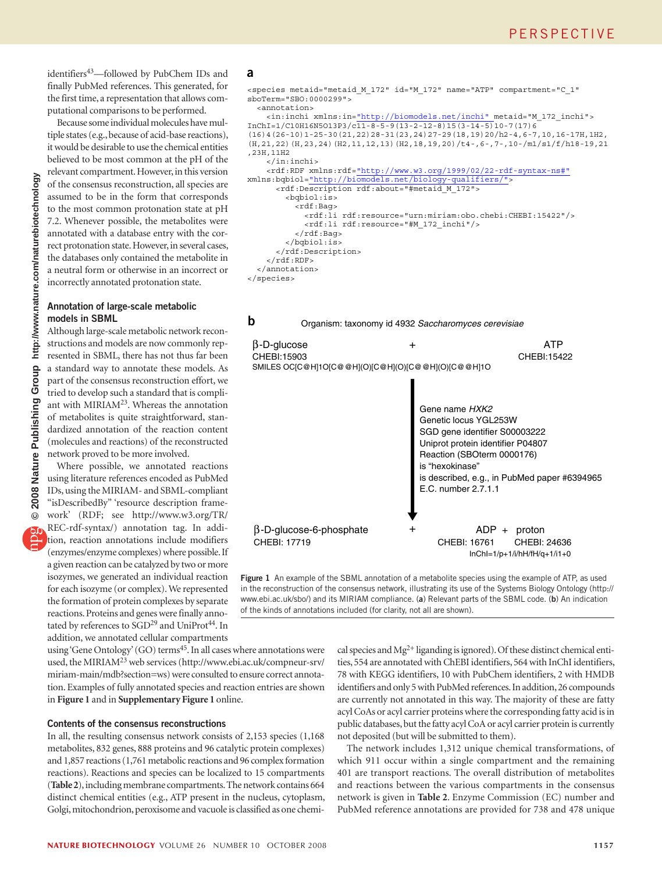http://www.nature.com/naturebiotechnology **© 2008 Nature Publishing Group http://www.nature.com/naturebiotechnology**Group **Publishing Nature** 2008  $\odot$  identifiers<sup>43</sup>—followed by PubChem IDs and finally PubMed references. This generated, for the first time, a representation that allows computational comparisons to be performed.

Because some individual molecules have multiple states (e.g., because of acid-base reactions), it would be desirable to use the chemical entities believed to be most common at the pH of the relevant compartment. However, in this version of the consensus reconstruction, all species are assumed to be in the form that corresponds to the most common protonation state at pH 7.2. Whenever possible, the metabolites were annotated with a database entry with the correct protonation state. However, in several cases, the databases only contained the metabolite in a neutral form or otherwise in an incorrect or incorrectly annotated protonation state.

#### **Annotation of large-scale metabolic models in SBML**

Although large-scale metabolic network reconstructions and models are now commonly represented in SBML, there has not thus far been a standard way to annotate these models. As part of the consensus reconstruction effort, we tried to develop such a standard that is compliant with MIRIAM23. Whereas the annotation of metabolites is quite straightforward, standardized annotation of the reaction content (molecules and reactions) of the reconstructed network proved to be more involved.

Where possible, we annotated reactions using literature references encoded as PubMed IDs, using the MIRIAM- and SBML-compliant "isDescribedBy" 'resource description framework' (RDF; see [http://www.w3.org/TR/](http://www.w3.org/TR/REC-rdf-syntax/) [REC-rdf-syntax/\)](http://www.w3.org/TR/REC-rdf-syntax/) annotation tag. In addition, reaction annotations include modifiers (enzymes/enzyme complexes) where possible. If a given reaction can be catalyzed by two or more isozymes, we generated an individual reaction for each isozyme (or complex). We represented the formation of protein complexes by separate reactions. Proteins and genes were finally annotated by references to SGD<sup>29</sup> and UniProt<sup>44</sup>. In addition, we annotated cellular compartments

#### **a**

**b**

<species metaid="metaid\_M\_172" id="M\_172" name="ATP" compartment="C\_1" sboTerm="SBO:0000299">

```
 <annotation>
```

```
 <in:inchi xmlns:in="http://biomodels.net/inchi" metaid="M_172_inchi">
InChI=1/C10H16N5O13P3/c11-8-5-9(13-2-12-8)15(3-14-5)10-7(17)6
(16)4(26-10)1-25-30(21,22)28-31(23,24)27-29(18,19)20/h2-4,6-7,10,16-17H,1H2,
(H,21,22)(H,23,24)(H2,11,12,13)(H2,18,19,20)/t4-,6-,7-,10-/m1/s1/f/h18-19,21
,23H,11H2
     </in:inchi>
     <rdf:RDF xmlns:rdf="http://www.w3.org/1999/02/22-rdf-syntax-ns#"
xmlns:bqbiol="http://biomodels.net/biology-qualifiers/">
       <rdf:Description rdf:about="#metaid_M_172"> 
         <bqbiol:is> 
           <rdf:Bag> 
             <rdf:li rdf:resource="urn:miriam:obo.chebi:CHEBI:15422"/> 
             <rdf:li rdf:resource="#M_172_inchi"/> 
           </rdf:Bag>
         </bqbiol:is>
       </rdf:Description>
     </rdf:RDF> 
   </annotation>
</species>
```
Organism: taxonomy id 4932 *Saccharomyces cerevisiae*



**Figure 1** An example of the SBML annotation of a metabolite species using the example of ATP, as used in the reconstruction of the consensus network, illustrating its use of the Systems Biology Ontology ([http://](http://www.ebi.ac.uk/sbo/) [www.ebi.ac.uk/sbo/\)](http://www.ebi.ac.uk/sbo/) and its MIRIAM compliance. (**a**) Relevant parts of the SBML code. (**b**) An indication of the kinds of annotations included (for clarity, not all are shown).

using 'Gene Ontology' (GO) terms<sup>45</sup>. In all cases where annotations were used, the MIRIAM<sup>23</sup> web services [\(http://www.ebi.ac.uk/compneur-srv/](http://www.ebi.ac.uk/compneur-srv/miriam-main/mdb?section=ws) [miriam-main/mdb?section=ws\)](http://www.ebi.ac.uk/compneur-srv/miriam-main/mdb?section=ws) were consulted to ensure correct annotation. Examples of fully annotated species and reaction entries are shown in **Figure 1** and in **Supplementary Figure 1** online.

#### **Contents of the consensus reconstructions**

In all, the resulting consensus network consists of 2,153 species (1,168 metabolites, 832 genes, 888 proteins and 96 catalytic protein complexes) and 1,857 reactions (1,761 metabolic reactions and 96 complex formation reactions). Reactions and species can be localized to 15 compartments (**Table 2**), including membrane compartments. The network contains 664 distinct chemical entities (e.g., ATP present in the nucleus, cytoplasm, Golgi, mitochondrion, peroxisome and vacuole is classified as one chemical species and  $Mg^{2+}$  liganding is ignored). Of these distinct chemical entities, 554 are annotated with ChEBI identifiers, 564 with InChI identifiers, 78 with KEGG identifiers, 10 with PubChem identifiers, 2 with HMDB identifiers and only 5 with PubMed references. In addition, 26 compounds are currently not annotated in this way. The majority of these are fatty acyl CoAs or acyl carrier proteins where the corresponding fatty acid is in public databases, but the fatty acyl CoA or acyl carrier protein is currently not deposited (but will be submitted to them).

The network includes 1,312 unique chemical transformations, of which 911 occur within a single compartment and the remaining 401 are transport reactions. The overall distribution of metabolites and reactions between the various compartments in the consensus network is given in **Table 2**. Enzyme Commission (EC) number and PubMed reference annotations are provided for 738 and 478 unique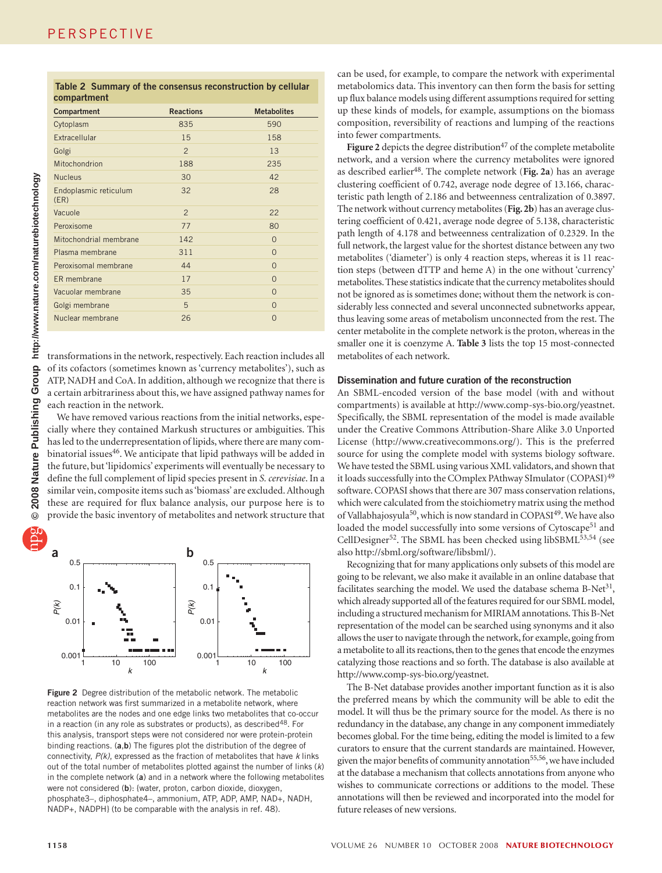| ì<br>Antium communication<br>- 44. 1             |
|--------------------------------------------------|
| $\frac{2}{3}$                                    |
| ، مسموع مناسات المسا<br>$\overline{\phantom{a}}$ |
| ï<br><b>CONSTRUSS</b>                            |
| $\sqrt{2008}$ Nat                                |
| ðί<br>ŋ                                          |

|             | Table 2 Summary of the consensus reconstruction by cellular |  |
|-------------|-------------------------------------------------------------|--|
| compartment |                                                             |  |

| Compartment                   | <b>Reactions</b> | <b>Metabolites</b> |
|-------------------------------|------------------|--------------------|
| Cytoplasm                     | 835              | 590                |
| Extracellular                 | 15               | 158                |
| Golgi                         | $\overline{2}$   | 13                 |
| Mitochondrion                 | 188              | 235                |
| <b>Nucleus</b>                | 30               | 42                 |
| Endoplasmic reticulum<br>(ER) | 32               | 28                 |
| Vacuole                       | $\overline{2}$   | 22                 |
| Peroxisome                    | 77               | 80                 |
| Mitochondrial membrane        | 142              | $\Omega$           |
| Plasma membrane               | 311              | $\Omega$           |
| Peroxisomal membrane          | 44               | $\Omega$           |
| ER membrane                   | 17               | $\Omega$           |
| Vacuolar membrane             | 35               | $\Omega$           |
| Golgi membrane                | 5                | $\Omega$           |
| Nuclear membrane              | 26               | $\Omega$           |

transformations in the network, respectively. Each reaction includes all of its cofactors (sometimes known as 'currency metabolites'), such as ATP, NADH and CoA. In addition, although we recognize that there is a certain arbitrariness about this, we have assigned pathway names for each reaction in the network.

We have removed various reactions from the initial networks, especially where they contained Markush structures or ambiguities. This has led to the underrepresentation of lipids, where there are many combinatorial issues<sup>46</sup>. We anticipate that lipid pathways will be added in the future, but 'lipidomics' experiments will eventually be necessary to define the full complement of lipid species present in *S. cerevisiae*. In a similar vein, composite items such as 'biomass' are excluded. Although these are required for flux balance analysis, our purpose here is to provide the basic inventory of metabolites and network structure that



**Figure 2** Degree distribution of the metabolic network. The metabolic reaction network was first summarized in a metabolite network, where metabolites are the nodes and one edge links two metabolites that co-occur in a reaction (in any role as substrates or products), as described<sup>48</sup>. For this analysis, transport steps were not considered nor were protein-protein binding reactions. (**a**,**b**) The figures plot the distribution of the degree of connectivity, *P(k)*, expressed as the fraction of metabolites that have *k* links out of the total number of metabolites plotted against the number of links (*k*) in the complete network (**a**) and in a network where the following metabolites were not considered (**b**): {water, proton, carbon dioxide, dioxygen, phosphate3–, diphosphate4–, ammonium, ATP, ADP, AMP, NAD+, NADH, NADP+, NADPH} (to be comparable with the analysis in ref. 48).

can be used, for example, to compare the network with experimental metabolomics data. This inventory can then form the basis for setting up flux balance models using different assumptions required for setting up these kinds of models, for example, assumptions on the biomass composition, reversibility of reactions and lumping of the reactions into fewer compartments.

**Figure 2** depicts the degree distribution<sup>47</sup> of the complete metabolite network, and a version where the currency metabolites were ignored as described earlier48. The complete network (**Fig. 2a**) has an average clustering coefficient of 0.742, average node degree of 13.166, characteristic path length of 2.186 and betweenness centralization of 0.3897. The network without currency metabolites (**Fig. 2b**) has an average clustering coefficient of 0.421, average node degree of 5.138, characteristic path length of 4.178 and betweenness centralization of 0.2329. In the full network, the largest value for the shortest distance between any two metabolites ('diameter') is only 4 reaction steps, whereas it is 11 reaction steps (between dTTP and heme A) in the one without 'currency' metabolites. These statistics indicate that the currency metabolites should not be ignored as is sometimes done; without them the network is considerably less connected and several unconnected subnetworks appear, thus leaving some areas of metabolism unconnected from the rest. The center metabolite in the complete network is the proton, whereas in the smaller one it is coenzyme A. **Table 3** lists the top 15 most-connected metabolites of each network.

#### **Dissemination and future curation of the reconstruction**

An SBML-encoded version of the base model (with and without compartments) is available at [http://www.comp-sys-bio.org/yeastnet.](http://www.comp-sys-bio.org/yeastnet) Specifically, the SBML representation of the model is made available under the Creative Commons Attribution-Share Alike 3.0 Unported License (<http://www.creativecommons.org/>). This is the preferred source for using the complete model with systems biology software. We have tested the SBML using various XML validators, and shown that it loads successfully into the COmplex PAthway SImulator (COPASI)<sup>49</sup> software. COPASI shows that there are 307 mass conservation relations, which were calculated from the stoichiometry matrix using the method of Vallabhajosyula<sup>50</sup>, which is now standard in COPASI<sup>49</sup>. We have also loaded the model successfully into some versions of Cytoscape<sup>51</sup> and CellDesigner<sup>52</sup>. The SBML has been checked using libSBML<sup>53,54</sup> (see also [http://sbml.org/software/libsbml/\)](http://sbml.org/software/libsbml/).

Recognizing that for many applications only subsets of this model are going to be relevant, we also make it available in an online database that facilitates searching the model. We used the database schema B-Net<sup>31</sup>, which already supported all of the features required for our SBML model, including a structured mechanism for MIRIAM annotations. This B-Net representation of the model can be searched using synonyms and it also allows the user to navigate through the network, for example, going from a metabolite to all its reactions, then to the genes that encode the enzymes catalyzing those reactions and so forth. The database is also available at [http://www.comp-sys-bio.org/yeastnet.](http://www.comp-sys-bio.org/yeastnet)

The B-Net database provides another important function as it is also the preferred means by which the community will be able to edit the model. It will thus be the primary source for the model. As there is no redundancy in the database, any change in any component immediately becomes global. For the time being, editing the model is limited to a few curators to ensure that the current standards are maintained. However, given the major benefits of community annotation<sup>55,56</sup>, we have included at the database a mechanism that collects annotations from anyone who wishes to communicate corrections or additions to the model. These annotations will then be reviewed and incorporated into the model for future releases of new versions.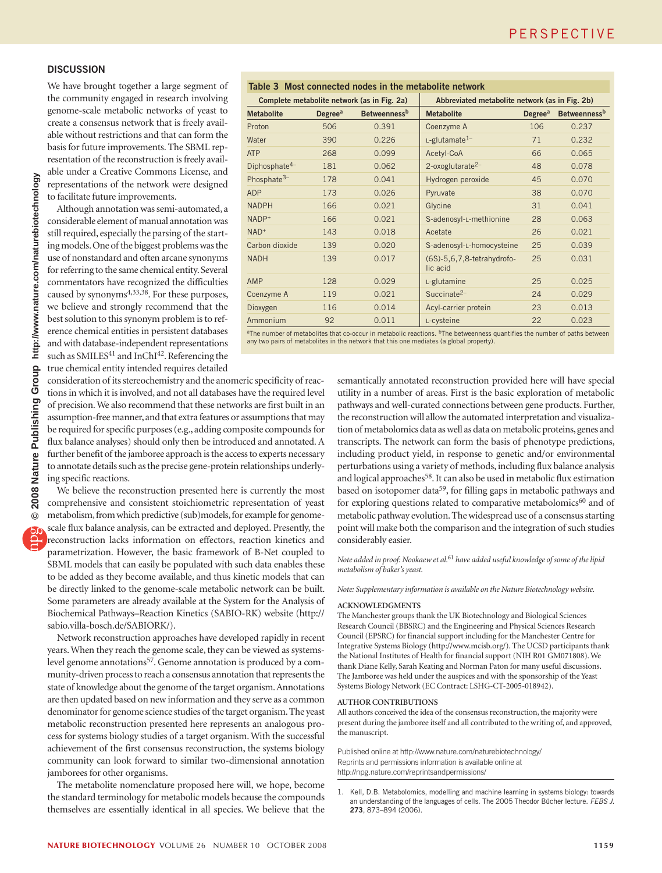#### **Discussion**

We have brought together a large segment of the community engaged in research involving genome-scale metabolic networks of yeast to create a consensus network that is freely available without restrictions and that can form the basis for future improvements. The SBML representation of the reconstruction is freely available under a Creative Commons License, and representations of the network were designed to facilitate future improvements.

Although annotation was semi-automated, a considerable element of manual annotation was still required, especially the parsing of the starting models. One of the biggest problems was the use of nonstandard and often arcane synonyms for referring to the same chemical entity. Several commentators have recognized the difficulties caused by synonyms<sup>4,33,38</sup>. For these purposes, we believe and strongly recommend that the best solution to this synonym problem is to reference chemical entities in persistent databases and with database-independent representations such as SMILES<sup>41</sup> and InChI<sup>42</sup>. Referencing the true chemical entity intended requires detailed

## **Table 3 Most connected nodes in the metabolite network**

| Complete metabolite network (as in Fig. 2a) |                            | Abbreviated metabolite network (as in Fig. 2b) |                                        |                            |                                 |
|---------------------------------------------|----------------------------|------------------------------------------------|----------------------------------------|----------------------------|---------------------------------|
| <b>Metabolite</b>                           | <b>Degree</b> <sup>a</sup> | <b>Betweenness</b> <sup>b</sup>                | <b>Metabolite</b>                      | <b>Degree</b> <sup>a</sup> | <b>Betweenness</b> <sup>b</sup> |
| Proton                                      | 506                        | 0.391                                          | Coenzyme A                             | 106                        | 0.237                           |
| Water                                       | 390                        | 0.226                                          | L-glutamate <sup>1-</sup>              | 71                         | 0.232                           |
| <b>ATP</b>                                  | 268                        | 0.099                                          | Acetyl-CoA                             | 66                         | 0.065                           |
| Diphosphate $4-$                            | 181                        | 0.062                                          | $2$ -oxoglutarate $2-$                 | 48                         | 0.078                           |
| Phosphate $3-$                              | 178                        | 0.041                                          | Hydrogen peroxide                      | 45                         | 0.070                           |
| <b>ADP</b>                                  | 173                        | 0.026                                          | Pyruvate                               | 38                         | 0.070                           |
| <b>NADPH</b>                                | 166                        | 0.021                                          | Glycine                                | 31                         | 0.041                           |
| NADP+                                       | 166                        | 0.021                                          | S-adenosyl-L-methionine                | 28                         | 0.063                           |
| $NAD+$                                      | 143                        | 0.018                                          | Acetate                                | 26                         | 0.021                           |
| Carbon dioxide                              | 139                        | 0.020                                          | S-adenosyl-L-homocysteine              | 25                         | 0.039                           |
| <b>NADH</b>                                 | 139                        | 0.017                                          | (6S)-5,6,7,8-tetrahydrofo-<br>lic acid | 25                         | 0.031                           |
| AMP                                         | 128                        | 0.029                                          | L-glutamine                            | 25                         | 0.025                           |
| Coenzyme A                                  | 119                        | 0.021                                          | Succinate $2-$                         | 24                         | 0.029                           |
| Dioxygen                                    | 116                        | 0.014                                          | Acyl-carrier protein                   | 23                         | 0.013                           |
| Ammonium                                    | 92                         | 0.011                                          | L-cysteine                             | 22                         | 0.023                           |
|                                             |                            |                                                |                                        |                            |                                 |

<sup>a</sup>The number of metabolites that co-occur in metabolic reactions. <sup>b</sup>The betweenness quantifies the number of paths between<br>any two pairs of metabolites in the network that this one mediates (a global property).

consideration of its stereochemistry and the anomeric specificity of reactions in which it is involved, and not all databases have the required level of precision. We also recommend that these networks are first built in an assumption-free manner, and that extra features or assumptions that may be required for specific purposes (e.g., adding composite compounds for flux balance analyses) should only then be introduced and annotated. A further benefit of the jamboree approach is the access to experts necessary to annotate details such as the precise gene-protein relationships underlying specific reactions.

We believe the reconstruction presented here is currently the most comprehensive and consistent stoichiometric representation of yeast metabolism, from which predictive (sub)models, for example for genomescale flux balance analysis, can be extracted and deployed. Presently, the reconstruction lacks information on effectors, reaction kinetics and parametrization. However, the basic framework of B-Net coupled to SBML models that can easily be populated with such data enables these to be added as they become available, and thus kinetic models that can be directly linked to the genome-scale metabolic network can be built. Some parameters are already available at the System for the Analysis of Biochemical Pathways–Reaction Kinetics (SABIO-RK) website ([http://](http://sabio.villa-bosch.de/SABIORK/) [sabio.villa-bosch.de/SABIORK/](http://sabio.villa-bosch.de/SABIORK/)).

Network reconstruction approaches have developed rapidly in recent years. When they reach the genome scale, they can be viewed as systemslevel genome annotations<sup>57</sup>. Genome annotation is produced by a community-driven process to reach a consensus annotation that represents the state of knowledge about the genome of the target organism. Annotations are then updated based on new information and they serve as a common denominator for genome science studies of the target organism. The yeast metabolic reconstruction presented here represents an analogous process for systems biology studies of a target organism. With the successful achievement of the first consensus reconstruction, the systems biology community can look forward to similar two-dimensional annotation jamborees for other organisms.

The metabolite nomenclature proposed here will, we hope, become the standard terminology for metabolic models because the compounds themselves are essentially identical in all species. We believe that the

semantically annotated reconstruction provided here will have special utility in a number of areas. First is the basic exploration of metabolic pathways and well-curated connections between gene products. Further, the reconstruction will allow the automated interpretation and visualization of metabolomics data as well as data on metabolic proteins, genes and transcripts. The network can form the basis of phenotype predictions, including product yield, in response to genetic and/or environmental perturbations using a variety of methods, including flux balance analysis and logical approaches<sup>58</sup>. It can also be used in metabolic flux estimation based on isotopomer data<sup>59</sup>, for filling gaps in metabolic pathways and for exploring questions related to comparative metabolomics<sup>60</sup> and of metabolic pathway evolution. The widespread use of a consensus starting point will make both the comparison and the integration of such studies considerably easier.

*Note added in proof: Nookaew et al.*61 *have added useful knowledge of some of the lipid metabolism of baker's yeast.*

*Note: Supplementary information is available on the Nature Biotechnology website.*

#### **ACKNOWLEDGMENTS**

The Manchester groups thank the UK Biotechnology and Biological Sciences Research Council (BBSRC) and the Engineering and Physical Sciences Research Council (EPSRC) for financial support including for the Manchester Centre for Integrative Systems Biology [\(http://www.mcisb.org/\)](http://www.mcisb.org/). The UCSD participants thank the National Institutes of Health for financial support (NIH R01 GM071808). We thank Diane Kelly, Sarah Keating and Norman Paton for many useful discussions. The Jamboree was held under the auspices and with the sponsorship of the Yeast Systems Biology Network (EC Contract: LSHG-CT-2005-018942).

#### **Author contributions**

All authors conceived the idea of the consensus reconstruction, the majority were present during the jamboree itself and all contributed to the writing of, and approved, the manuscript.

Published online at<http://www.nature.com/naturebiotechnology/> Reprints and permissions information is available online at <http://npg.nature.com/reprintsandpermissions/>

1. Kell, D.B. Metabolomics, modelling and machine learning in systems biology: towards an understanding of the languages of cells. The 2005 Theodor Bücher lecture. *FEBS J*. **273**, 873–894 (2006).